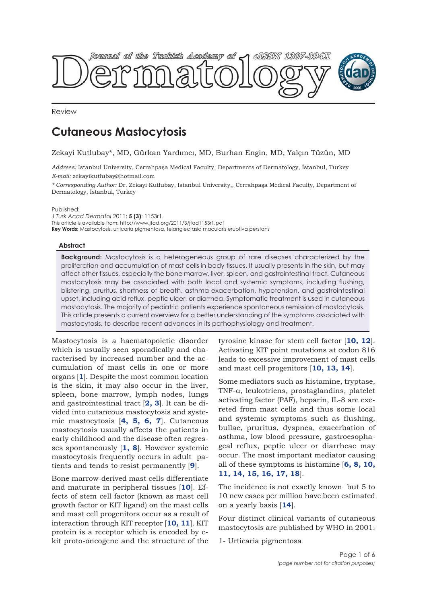

Review

# **Cutaneous Mastocytosis**

## Zekayi Kutlubay\*, MD, Gürkan Yardımcı, MD, Burhan Engin, MD, Yalçın Tüzün, MD

*Address:* Istanbul University, Cerrahpaşa Medical Faculty, Departments of Dermatology, İstanbul, Turkey *E-mail:* zekayikutlubay@hotmail.com

*\* Corresponding Author:* Dr. Zekayi Kutlubay, Istanbul University,, Cerrahpaşa Medical Faculty, Department of Dermatology, İstanbul, Turkey

Published:

*J Turk Acad Dermatol* 2011; **5 (3)**: 1153r1. This article is available from: http://www.jtad.org/2011/3/jtad1153r1.pdf **Key Words:** Mastocytosis, urticaria pigmentosa, telangiectasia macularis eruptiva perstans

## **Abstract**

**Background:** Mastocytosis is a heterogeneous group of rare diseases characterized by the proliferation and accumulation of mast cells in body tissues. It usually presents in the skin, but may affect other tissues, especially the bone marrow, liver, spleen, and gastrointestinal tract. Cutaneous mastocytosis may be associated with both local and systemic symptoms, including flushing, blistering, pruritus, shortness of breath, asthma exacerbation, hypotension, and gastrointestinal upset, including acid reflux, peptic ulcer, or diarrhea. Symptomatic treatment is used in cutaneous mastocytosis. The majority of pediatric patients experience spontaneous remission of mastocytosis. This article presents a current overview for a better understanding of the symptoms associated with mastocytosis, to describe recent advances in its pathophysiology and treatment.

Mastocytosis is a haematopoietic disorder which is usually seen sporadically and characterised by increased number and the accumulation of mast cells in one or more organs [**1**]. Despite the most common location is the skin, it may also occur in the liver, spleen, bone marrow, lymph nodes, lungs and gastrointestinal tract [**2, 3**]. It can be divided into cutaneous mastocytosis and systemic mastocytosis [**4, 5, 6, 7**]. Cutaneous mastocytosis usually affects the patients in early childhood and the disease often regresses spontaneously [**1, 8**]. However systemic mastocytosis frequently occurs in adult patients and tends to resist permanently [**9**].

Bone marrow-derived mast cells differentiate and maturate in peripheral tissues [**10**]. Effects of stem cell factor (known as mast cell growth factor or KIT ligand) on the mast cells and mast cell progenitors occur as a result of interaction through KIT receptor [**10, 11**]. KIT protein is a receptor which is encoded by ckit proto-oncogene and the structure of the

tyrosine kinase for stem cell factor [**10, 12**]. Activating KIT point mutations at codon 816 leads to excessive improvement of mast cells and mast cell progenitors [**10, 13, 14**].

Some mediators such as histamine, tryptase, TNF-α, leukotriens, prostaglandins, platelet activating factor (PAF), heparin, IL-8 are excreted from mast cells and thus some local and systemic symptoms such as flushing, bullae, pruritus, dyspnea, exacerbation of asthma, low blood pressure, gastroesophageal reflux, peptic ulcer or diarrheae may occur. The most important mediator causing all of these symptoms is histamine [**6, 8, 10, 11, 14, 15, 16, 17, 18**].

The incidence is not exactly known but 5 to 10 new cases per million have been estimated on a yearly basis [**14**].

Four distinct clinical variants of cutaneous mastocytosis are published by WHO in 2001:

1- Urticaria pigmentosa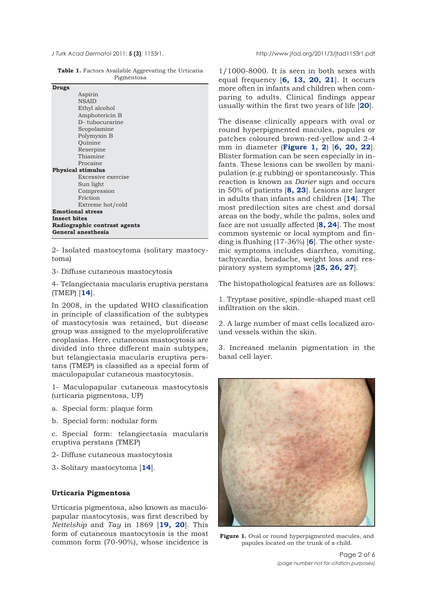**Table 1.** Factors Available Aggrevating the Urticaria Pigmentosa

| Drugs                        |
|------------------------------|
| Aspirin                      |
| <b>NSAID</b>                 |
| Ethyl alcohol                |
| Amphotericin B               |
| D-tubocurarine               |
| Scopolamine                  |
| Polymyxin B                  |
| Ouinine                      |
| Reserpine                    |
| Thiamine                     |
| Procaine                     |
| <b>Physical stimulus</b>     |
| Excessive exercise           |
| Sun light                    |
| Compression                  |
| Friction                     |
| Extreme hot/cold             |
| <b>Emotional stress</b>      |
| <b>Insect bites</b>          |
| Radiographic contrast agents |
| General anesthesia           |

2- Isolated mastocytoma (solitary mastocytoma)

3- Diffuse cutaneous mastocytosis

4- Telangiectasia macularis eruptiva perstans (TMEP) [**14**].

In 2008, in the updated WHO classification in principle of classification of the subtypes of mastocytosis was retained, but disease group was assigned to the myeloproliferative neoplasias. Here, cutaneous mastocytosis are divided into three different main subtypes, but telangiectasia macularis eruptiva perstans (TMEP) is classified as a special form of maculopapular cutaneous mastocytosis.

1- Maculopapular cutaneous mastocytosis (urticaria pigmentosa, UP)

- a. Special form: plaque form
- b. Special form: nodular form

c. Special form: telangiectasia macularis eruptiva perstans (TMEP)

- 2- Diffuse cutaneous mastocytosis
- 3- Solitary mastocytoma [**14**].

## **Urticaria Pigmentosa**

Urticaria pigmentosa, also known as maculopapular mastocytosis, was first described by *Nettelship* and *Tay* in 1869 [**19, 20**]. This form of cutaneous mastocytosis is the most common form (70-90%), whose incidence is

1/1000-8000. It is seen in both sexes with equal frequency [**6, 13, 20, 21**]. It occurs more often in infants and children when comparing to adults. Clinical findings appear usually within the first two years of life [**20**].

The disease clinically appears with oval or round hyperpigmented macules, papules or patches coloured brown-red-yellow and 2-4 mm in diameter (**Figure 1, 2**) [**6, 20, 22**]. Blister formation can be seen especially in infants. These lesions can be swollen by manipulation (e.g rubbing) or spontaneously. This reaction is known as *Darier* sign and occurs in 50% of patients [**8, 23**]. Lesions are larger in adults than infants and children [**14**]. The most predilection sites are chest and dorsal areas on the body, while the palms, soles and face are not usually affected [**8, 24**]. The most common systemic or local symptom and finding is flushing (17-36%) [**6**]. The other systemic symptoms includes diarrhea, vomiting, tachycardia, headache, weight loss and respiratory system symptoms [**25, 26, 27**].

The histopathological features are as follows:

1. Tryptase positive, spindle-shaped mast cell infiltration on the skin.

2. A large number of mast cells localized around vessels within the skin.

3. Increased melanin pigmentation in the basal cell layer.



**Figure 1.** Oval or round hyperpigmented macules, and papules located on the trunk of a child.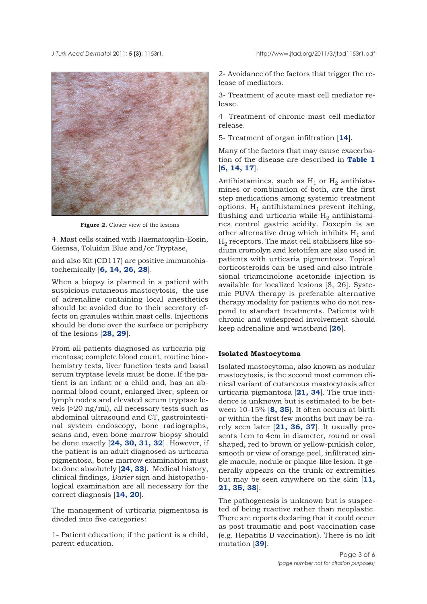*J Turk Acad Dermato*l 2011; **5 (3)**: 1153r1. http://www.jtad.org/2011/3/jtad1153r1.pdf



**Figure 2.** Closer view of the lesions

4. Mast cells stained with Haematoxylin-Eosin, Giemsa, Toluidin Blue and/or Tryptase,

and also Kit (CD117) are positive immunohistochemically [**6, 14, 26, 28**].

When a biopsy is planned in a patient with suspicious cutaneous mastocytosis, the use of adrenaline containing local anesthetics should be avoided due to their secretory effects on granules within mast cells. Injections should be done over the surface or periphery of the lesions [**28, 29**].

From all patients diagnosed as urticaria pigmentosa; complete blood count, routine biochemistry tests, liver function tests and basal serum tryptase levels must be done. If the patient is an infant or a child and, has an abnormal blood count, enlarged liver, spleen or lymph nodes and elevated serum tryptase levels (>20 ng/ml), all necessary tests such as abdominal ultrasound and CT, gastrointestinal system endoscopy, bone radiographs, scans and, even bone marrow biopsy should be done exactly [**24, 30, 31, 32**]. However, if the patient is an adult diagnosed as urticaria pigmentosa, bone marrow examination must be done absolutely [**24, 33**]. Medical history, clinical findings, *Darier* sign and histopathological examination are all necessary for the correct diagnosis [**14, 20**].

The management of urticaria pigmentosa is divided into five categories:

1- Patient education; if the patient is a child, parent education.

2- Avoidance of the factors that trigger the release of mediators.

3- Treatment of acute mast cell mediator release.

4- Treatment of chronic mast cell mediator release.

5- Treatment of organ infiltration [**14**].

Many of the factors that may cause exacerbation of the disease are described in **Table 1** [**6, 14, 17**].

Antihistamines, such as  $H_1$  or  $H_2$  antihistamines or combination of both, are the first step medications among systemic treatment options.  $H_1$  antihistamines prevent itching, flushing and urticaria while  $H_2$  antihistamines control gastric acidity. Doxepin is an other alternative drug which inhibits  $H_1$  and  $H<sub>2</sub>$  receptors. The mast cell stabilisers like sodium cromolyn and ketotifen are also used in patients with urticaria pigmentosa. Topical corticosteroids can be used and also intralesional triamcinolone acetonide injection is available for localized lesions [8, 26]. Systemic PUVA therapy is preferable alternative therapy modality for patients who do not respond to standart treatments. Patients with chronic and widespread involvement should keep adrenaline and wristband [**26**].

### **Isolated Mastocytoma**

Isolated mastocytoma, also known as nodular mastocytosis, is the second most common clinical variant of cutaneous mastocytosis after urticaria pigmantosa [**21, 34**]. The true incidence is unknown but is estimated to be between 10-15% [**8, 35**]. It often occurs at birth or within the first few months but may be rarely seen later [**21, 36, 37**]. It usually presents 1cm to 4cm in diameter, round or oval shaped, red to brown or yellow-pinkish color, smooth or view of orange peel, infiltrated single macule, nodule or plaque-like lesion. It generally appears on the trunk or extremities but may be seen anywhere on the skin [**11, 21, 35, 38**].

The pathogenesis is unknown but is suspected of being reactive rather than neoplastic. There are reports declaring that it could occur as post-traumatic and post-vaccination case (e.g. Hepatitis B vaccination). There is no kit mutation [**39**].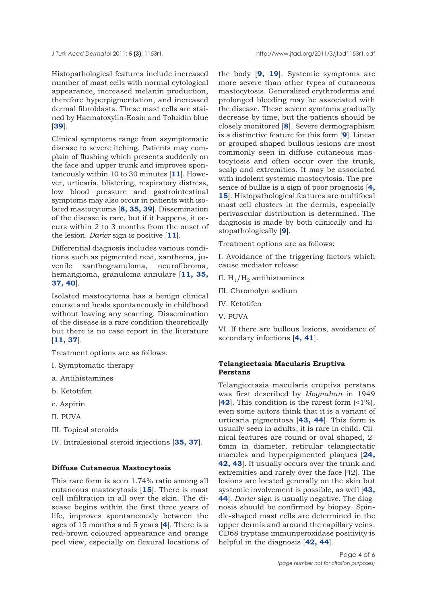Histopathological features include increased number of mast cells with normal cytological appearance, increased melanin production, therefore hyperpigmentation, and increased dermal fibroblasts. These mast cells are stained by Haematoxylin-Eosin and Toluidin blue [**39**].

Clinical symptoms range from asymptomatic disease to severe itching. Patients may complain of flushing which presents suddenly on the face and upper trunk and improves spontaneously within 10 to 30 minutes [**11**]. However, urticaria, blistering, respiratory distress, low blood pressure and gastrointestinal symptoms may also occur in patients with isolated mastocytoma [**8, 35, 39**]. Dissemination of the disease is rare, but if it happens, it occurs within 2 to 3 months from the onset of the lesion. *Darier* sign is positive [**11**].

Differential diagnosis includes various conditions such as pigmented nevi, xanthoma, juvenile xanthogranuloma, neurofibroma, hemangioma, granuloma annulare [**11, 35, 37, 40**].

Isolated mastocytoma has a benign clinical course and heals spontaneously in childhood without leaving any scarring. Dissemination of the disease is a rare condition theoretically but there is no case report in the literature [**11, 37**].

Treatment options are as follows:

- I. Symptomatic therapy
- a. Antihistamines
- b. Ketotifen
- c. Aspirin
- II. PUVA
- III. Topical steroids
- IV. Intralesional steroid injections [**35, 37**].

## **Diffuse Cutaneous Mastocytosis**

This rare form is seen 1.74% ratio among all cutaneous mastocytosis [**15**]. There is mast cell infiltration in all over the skin. The disease begins within the first three years of life, improves spontaneously between the ages of 15 months and 5 years [**4**]. There is a red-brown coloured appearance and orange peel view, especially on flexural locations of

the body [**9, 19**]. Systemic symptoms are more severe than other types of cutaneous mastocytosis. Generalized erythroderma and prolonged bleeding may be associated with the disease. These severe symtoms gradually decrease by time, but the patients should be closely monitored [**8**]. Severe dermographism is a distinctive feature for this form [**9**]. Linear or grouped-shaped bullous lesions are most commonly seen in diffuse cutaneous mastocytosis and often occur over the trunk, scalp and extremities. It may be associated with indolent systemic mastocytosis. The presence of bullae is a sign of poor prognosis [**4, 15**]. Histopathological features are multifocal mast cell clusters in the dermis, especially perivascular distribution is determined. The diagnosis is made by both clinically and histopathologically [**9**].

Treatment options are as follows:

I. Avoidance of the triggering factors which cause mediator release

- II.  $H_1/H_2$  antihistamines
- III. Chromolyn sodium
- IV. Ketotifen
- V. PUVA

VI. If there are bullous lesions, avoidance of secondary infections [**4, 41**].

## **Telangiectasia Macularis Eruptiva Perstans**

Telangiectasia macularis eruptiva perstans was first described by *Moynahan* in 1949 [**42**]. This condition is the rarest form (<1%), even some autors think that it is a variant of urticaria pigmentosa [**43, 44**]. This form is usually seen in adults, it is rare in child. Clinical features are round or oval shaped, 2- 6mm in diameter, reticular telangiectatic macules and hyperpigmented plaques [**24, 42, 43**]. It usually occurs over the trunk and extremities and rarely over the face [42]. The lesions are located generally on the skin but systemic involvement is possible, as well [**43, 44**]. *Darier* sign is usually negative. The diagnosis should be confirmed by biopsy. Spindle-shaped mast cells are determined in the upper dermis and around the capillary veins. CD68 tryptase immunperoxidase positivity is helpful in the diagnosis [**42, 44**].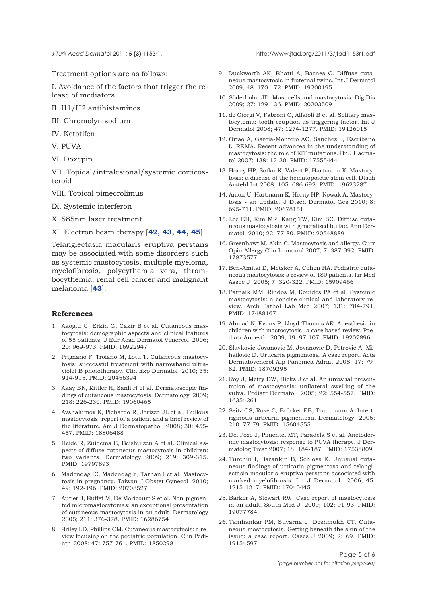Treatment options are as follows:

I. Avoidance of the factors that trigger the release of mediators

II. H1/H2 antihistamines

III. Chromolyn sodium

IV. Ketotifen

V. PUVA

VI. Doxepin

VII. Topical/intralesional/systemic corticosteroid

VIII. Topical pimecrolimus

IX. Systemic interferon

X. 585nm laser treatment

XI. Electron beam therapy [**42, 43, 44, 45**].

Telangiectasia macularis eruptiva perstans may be associated with some disorders such as systemic mastocytosis, multiple myeloma, myelofibrosis, polycythemia vera, thrombocythemia, renal cell cancer and malignant melanoma [**43**].

#### **References**

- 1. Akoglu G, Erkin G, Cakir B et al. Cutaneous mastocytosis: demographic aspects and clinical features of 55 patients. J Eur Acad Dermatol Venereol 2006; 20: 969-973. PMID: 16922947
- 2. Prignano F, Troiano M, Lotti T. Cutaneous mastocytosis: successful treatment with narrowband ultraviolet B phototherapy. Clin Exp Dermatol 2010; 35: 914-915. PMID: 20456394
- 3. Akay BN, Kittler H, Sanli H et al. Dermatoscopic findings of cutaneous mastocytosis. Dermatology 2009; 218: 226-230. PMID: 19060465
- 4. Avshalumov K, Pichardo R, Jorizzo JL et al. Bullous mastocytosis: report of a patient and a brief review of the literature. Am J Dermatopathol 2008; 30: 455- 457. PMID: 18806488
- 5. Heide R, Zuidema E, Beishuizen A et al. Clinical aspects of diffuse cutaneous mastocytosis in children: two variants. Dermatology 2009; 219: 309-315. PMID: 19797893
- 6. Madendag IC, Madendag Y, Tarhan I et al. Mastocytosis in pregnancy. Taiwan J Obstet Gynecol 2010; 49: 192-196. PMID: 20708527
- 7. Autier J, Buffet M, De Maricourt S et al. Non-pigmented micromastocytomas: an exceptional presentation of cutaneous mastocytosis in an adult. Dermatology 2005; 211: 376-378. PMID: 16286754
- 8. Briley LD, Phillips CM. Cutaneous mastocytosis: a review focusing on the pediatric population. Clin Pediatr 2008; 47: 757-761. PMID: 18502981

*J Turk Acad Dermato*l 2011; **5 (3)**:1153r1. http://www.jtad.org/2011/3/jtad1153r1.pdf

- 9. Duckworth AK, Bhatti A, Barnes C. Diffuse cutaneous mastocytosis in fraternal twins. Int J Dermatol 2009; 48: 170-172. PMID: 19200195
- 10. Söderholm JD. Mast cells and mastocytosis. Dig Dis 2009; 27: 129-136. PMID: 20203509
- 11. de Giorgi V, Fabroni C, Alfaioli B et al. Solitary mastocytoma: tooth eruption as triggering factor. Int J Dermatol 2008; 47: 1274-1277. PMID: 19126015
- 12. Orfao A, Garcia-Montero AC, Sanchez L, Escribano L; REMA. Recent advances in the understanding of mastocytosis: the role of KIT mutations. Br J Haematol 2007; 138: 12-30. PMID: 17555444
- 13. Horny HP, Sotlar K, Valent P, Hartmann K. Mastocytosis: a disease of the hematopoietic stem cell. Dtsch Arztebl Int 2008; 105: 686-692. PMID: 19623287
- 14. Amon U, Hartmann K, Horny HP, Nowak A. Mastocytosis - an update. J Dtsch Dermatol Ges 2010; 8: 695-711. PMID: 20678151
- 15. Lee EH, Kim MR, Kang TW, Kim SC. Diffuse cutaneous mastocytosis with generalized bullae. Ann Dermatol 2010; 22: 77-80. PMID: 20548889
- 16. Greenhawt M, Akin C. Mastocytosis and allergy. Curr Opin Allergy Clin Immunol 2007; 7: 387-392. PMID: 17873577
- 17. Ben-Amitai D, Metzker A, Cohen HA. Pediatric cutaneous mastocytosis: a review of 180 patients. Isr Med Assoc J 2005; 7: 320-322. PMID: 15909466
- 18. Patnaik MM, Rindos M, Kouides PA et al. Systemic mastocytosis: a concise clinical and laboratory review. Arch Pathol Lab Med 2007; 131: 784-791. PMID: 17488167
- 19. Ahmad N, Evans P, Lloyd-Thomas AR. Anesthesia in children with mastocytosis--a case based review. Paediatr Anaesth 2009; 19: 97-107. PMID: 19207896
- 20. Slavkovic-Jovanovic M, Jovanovic D, Petrovic A, Mihailovic D. Urticaria pigmentosa. A case report. Acta Dermatovenerol Alp Panonica Adriat 2008; 17: 79- 82. PMID: 18709295
- 21. Roy J, Metry DW, Hicks J et al. An unusual presentation of mastocytosis: unilateral swelling of the vulva. Pediatr Dermatol 2005; 22: 554-557. PMID: 16354261
- 22. Seitz CS, Rose C, Bröcker EB, Trautmann A. Intertriginous urticaria pigmentosa. Dermatology 2005; 210: 77-79. PMID: 15604555
- 23. Del Pozo J, Pimentel MT, Paradela S et al. Anetodermic mastocytosis: response to PUVA therapy. J Dermatolog Treat 2007; 18: 184-187. PMID: 17538809
- 24. Turchin I, Barankin B, Schloss E. Unusual cutaneous findings of urticaria pigmentosa and telangiectasia macularis eruptiva perstans associated with marked myelofibrosis. Int J Dermatol 2006; 45: 1215-1217. PMID: 17040445
- 25. Barker A, Stewart RW. Case report of mastocytosis in an adult. South Med J 2009; 102: 91-93. PMID: 19077784
- 26. Tamhankar PM, Suvarna J, Deshmukh CT. Cutaneous mastocytosis. Getting beneath the skin of the issue: a case report. Cases J 2009; 2: 69. PMID: 19154597